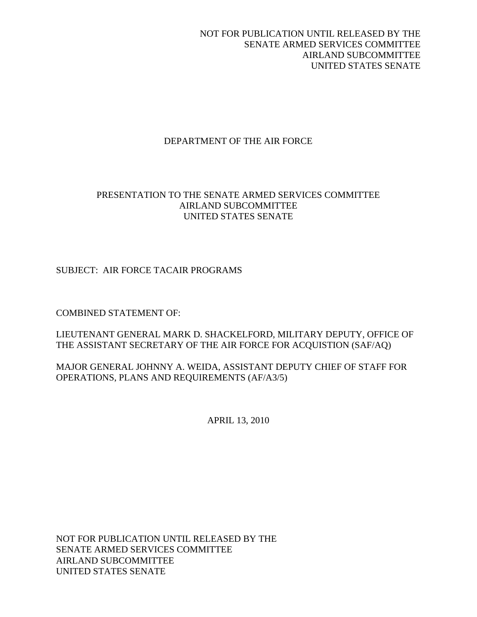# DEPARTMENT OF THE AIR FORCE

# PRESENTATION TO THE SENATE ARMED SERVICES COMMITTEE AIRLAND SUBCOMMITTEE UNITED STATES SENATE

# SUBJECT: AIR FORCE TACAIR PROGRAMS

COMBINED STATEMENT OF:

LIEUTENANT GENERAL MARK D. SHACKELFORD, MILITARY DEPUTY, OFFICE OF THE ASSISTANT SECRETARY OF THE AIR FORCE FOR ACQUISTION (SAF/AQ)

MAJOR GENERAL JOHNNY A. WEIDA, ASSISTANT DEPUTY CHIEF OF STAFF FOR OPERATIONS, PLANS AND REQUIREMENTS (AF/A3/5)

APRIL 13, 2010

NOT FOR PUBLICATION UNTIL RELEASED BY THE SENATE ARMED SERVICES COMMITTEE AIRLAND SUBCOMMITTEE UNITED STATES SENATE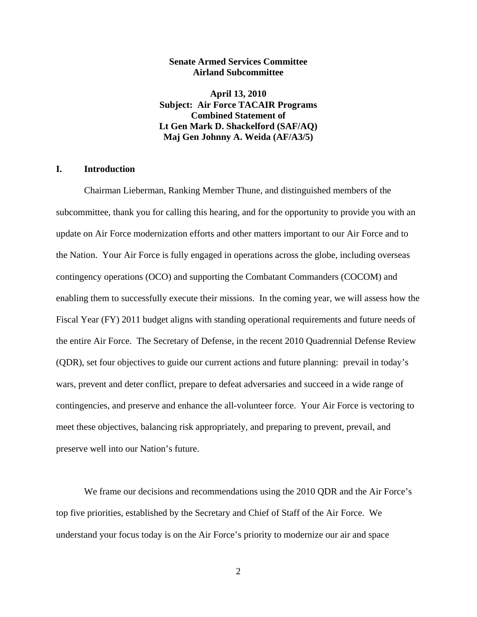### **Senate Armed Services Committee Airland Subcommittee**

**April 13, 2010 Subject: Air Force TACAIR Programs Combined Statement of Lt Gen Mark D. Shackelford (SAF/AQ) Maj Gen Johnny A. Weida (AF/A3/5)** 

### **I. Introduction**

Chairman Lieberman, Ranking Member Thune, and distinguished members of the subcommittee, thank you for calling this hearing, and for the opportunity to provide you with an update on Air Force modernization efforts and other matters important to our Air Force and to the Nation. Your Air Force is fully engaged in operations across the globe, including overseas contingency operations (OCO) and supporting the Combatant Commanders (COCOM) and enabling them to successfully execute their missions. In the coming year, we will assess how the Fiscal Year (FY) 2011 budget aligns with standing operational requirements and future needs of the entire Air Force. The Secretary of Defense, in the recent 2010 Quadrennial Defense Review (QDR), set four objectives to guide our current actions and future planning: prevail in today's wars, prevent and deter conflict, prepare to defeat adversaries and succeed in a wide range of contingencies, and preserve and enhance the all-volunteer force. Your Air Force is vectoring to meet these objectives, balancing risk appropriately, and preparing to prevent, prevail, and preserve well into our Nation's future.

We frame our decisions and recommendations using the 2010 QDR and the Air Force's top five priorities, established by the Secretary and Chief of Staff of the Air Force. We understand your focus today is on the Air Force's priority to modernize our air and space

2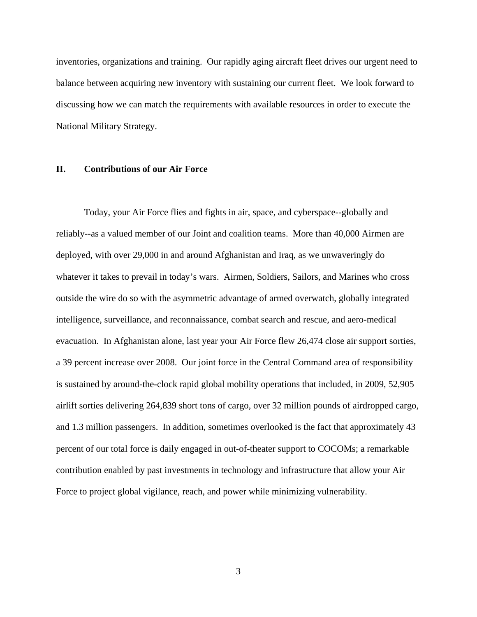inventories, organizations and training. Our rapidly aging aircraft fleet drives our urgent need to balance between acquiring new inventory with sustaining our current fleet. We look forward to discussing how we can match the requirements with available resources in order to execute the National Military Strategy.

## **II. Contributions of our Air Force**

 Today, your Air Force flies and fights in air, space, and cyberspace--globally and reliably--as a valued member of our Joint and coalition teams. More than 40,000 Airmen are deployed, with over 29,000 in and around Afghanistan and Iraq, as we unwaveringly do whatever it takes to prevail in today's wars. Airmen, Soldiers, Sailors, and Marines who cross outside the wire do so with the asymmetric advantage of armed overwatch, globally integrated intelligence, surveillance, and reconnaissance, combat search and rescue, and aero-medical evacuation. In Afghanistan alone, last year your Air Force flew 26,474 close air support sorties, a 39 percent increase over 2008. Our joint force in the Central Command area of responsibility is sustained by around-the-clock rapid global mobility operations that included, in 2009, 52,905 airlift sorties delivering 264,839 short tons of cargo, over 32 million pounds of airdropped cargo, and 1.3 million passengers. In addition, sometimes overlooked is the fact that approximately 43 percent of our total force is daily engaged in out-of-theater support to COCOMs; a remarkable contribution enabled by past investments in technology and infrastructure that allow your Air Force to project global vigilance, reach, and power while minimizing vulnerability.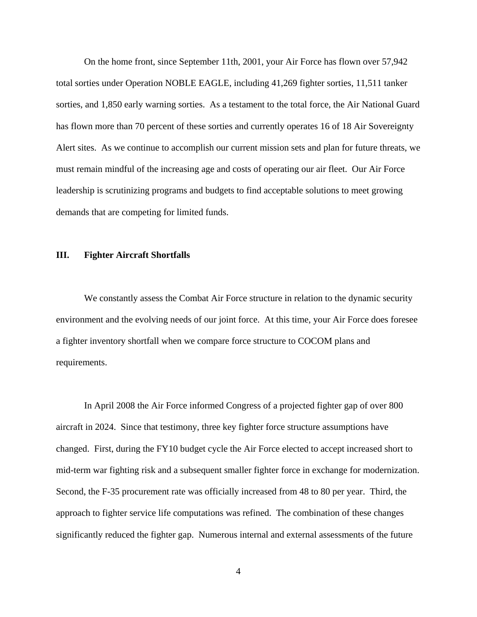On the home front, since September 11th, 2001, your Air Force has flown over 57,942 total sorties under Operation NOBLE EAGLE, including 41,269 fighter sorties, 11,511 tanker sorties, and 1,850 early warning sorties. As a testament to the total force, the Air National Guard has flown more than 70 percent of these sorties and currently operates 16 of 18 Air Sovereignty Alert sites. As we continue to accomplish our current mission sets and plan for future threats, we must remain mindful of the increasing age and costs of operating our air fleet. Our Air Force leadership is scrutinizing programs and budgets to find acceptable solutions to meet growing demands that are competing for limited funds.

### **III. Fighter Aircraft Shortfalls**

 We constantly assess the Combat Air Force structure in relation to the dynamic security environment and the evolving needs of our joint force. At this time, your Air Force does foresee a fighter inventory shortfall when we compare force structure to COCOM plans and requirements.

In April 2008 the Air Force informed Congress of a projected fighter gap of over 800 aircraft in 2024. Since that testimony, three key fighter force structure assumptions have changed. First, during the FY10 budget cycle the Air Force elected to accept increased short to mid-term war fighting risk and a subsequent smaller fighter force in exchange for modernization. Second, the F-35 procurement rate was officially increased from 48 to 80 per year. Third, the approach to fighter service life computations was refined. The combination of these changes significantly reduced the fighter gap. Numerous internal and external assessments of the future

4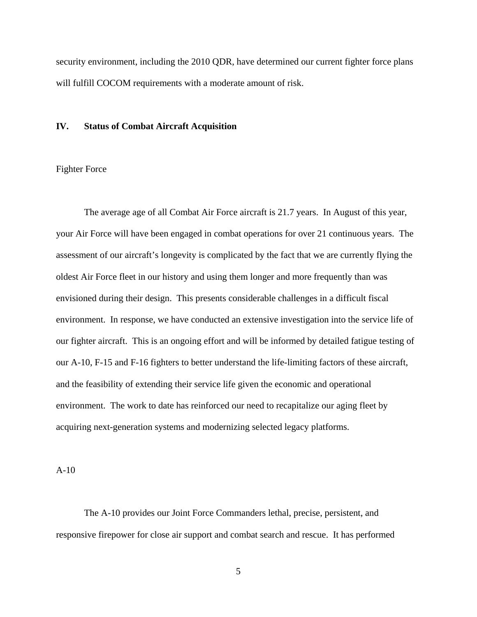security environment, including the 2010 QDR, have determined our current fighter force plans will fulfill COCOM requirements with a moderate amount of risk.

### **IV. Status of Combat Aircraft Acquisition**

### Fighter Force

The average age of all Combat Air Force aircraft is 21.7 years. In August of this year, your Air Force will have been engaged in combat operations for over 21 continuous years. The assessment of our aircraft's longevity is complicated by the fact that we are currently flying the oldest Air Force fleet in our history and using them longer and more frequently than was envisioned during their design. This presents considerable challenges in a difficult fiscal environment. In response, we have conducted an extensive investigation into the service life of our fighter aircraft. This is an ongoing effort and will be informed by detailed fatigue testing of our A-10, F-15 and F-16 fighters to better understand the life-limiting factors of these aircraft, and the feasibility of extending their service life given the economic and operational environment. The work to date has reinforced our need to recapitalize our aging fleet by acquiring next-generation systems and modernizing selected legacy platforms.

A-10

The A-10 provides our Joint Force Commanders lethal, precise, persistent, and responsive firepower for close air support and combat search and rescue. It has performed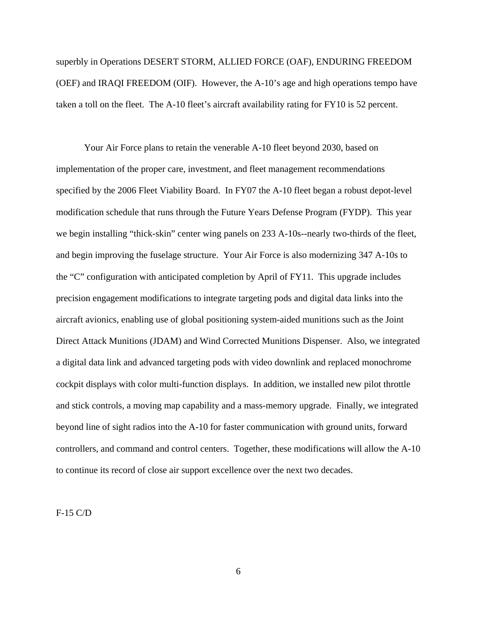superbly in Operations DESERT STORM, ALLIED FORCE (OAF), ENDURING FREEDOM (OEF) and IRAQI FREEDOM (OIF). However, the A-10's age and high operations tempo have taken a toll on the fleet. The A-10 fleet's aircraft availability rating for FY10 is 52 percent.

Your Air Force plans to retain the venerable A-10 fleet beyond 2030, based on implementation of the proper care, investment, and fleet management recommendations specified by the 2006 Fleet Viability Board. In FY07 the A-10 fleet began a robust depot-level modification schedule that runs through the Future Years Defense Program (FYDP). This year we begin installing "thick-skin" center wing panels on 233 A-10s--nearly two-thirds of the fleet, and begin improving the fuselage structure. Your Air Force is also modernizing 347 A-10s to the "C" configuration with anticipated completion by April of FY11. This upgrade includes precision engagement modifications to integrate targeting pods and digital data links into the aircraft avionics, enabling use of global positioning system-aided munitions such as the Joint Direct Attack Munitions (JDAM) and Wind Corrected Munitions Dispenser. Also, we integrated a digital data link and advanced targeting pods with video downlink and replaced monochrome cockpit displays with color multi-function displays. In addition, we installed new pilot throttle and stick controls, a moving map capability and a mass-memory upgrade. Finally, we integrated beyond line of sight radios into the A-10 for faster communication with ground units, forward controllers, and command and control centers. Together, these modifications will allow the A-10 to continue its record of close air support excellence over the next two decades.

F-15 C/D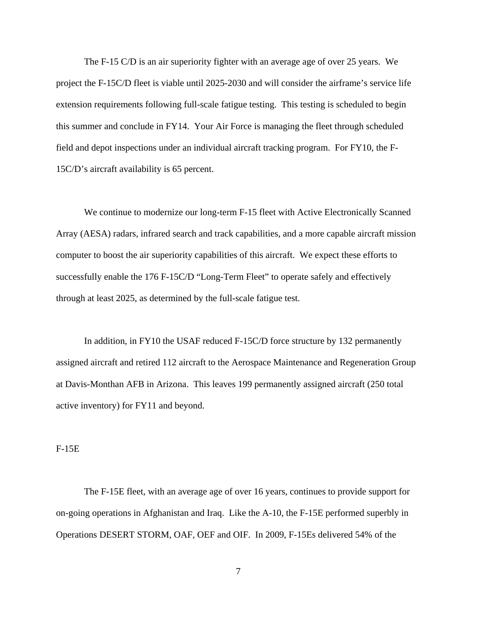The F-15 C/D is an air superiority fighter with an average age of over 25 years. We project the F-15C/D fleet is viable until 2025-2030 and will consider the airframe's service life extension requirements following full-scale fatigue testing. This testing is scheduled to begin this summer and conclude in FY14. Your Air Force is managing the fleet through scheduled field and depot inspections under an individual aircraft tracking program. For FY10, the F-15C/D's aircraft availability is 65 percent.

We continue to modernize our long-term F-15 fleet with Active Electronically Scanned Array (AESA) radars, infrared search and track capabilities, and a more capable aircraft mission computer to boost the air superiority capabilities of this aircraft. We expect these efforts to successfully enable the 176 F-15C/D "Long-Term Fleet" to operate safely and effectively through at least 2025, as determined by the full-scale fatigue test.

In addition, in FY10 the USAF reduced F-15C/D force structure by 132 permanently assigned aircraft and retired 112 aircraft to the Aerospace Maintenance and Regeneration Group at Davis-Monthan AFB in Arizona. This leaves 199 permanently assigned aircraft (250 total active inventory) for FY11 and beyond.

#### F-15E

 The F-15E fleet, with an average age of over 16 years, continues to provide support for on-going operations in Afghanistan and Iraq. Like the A-10, the F-15E performed superbly in Operations DESERT STORM, OAF, OEF and OIF. In 2009, F-15Es delivered 54% of the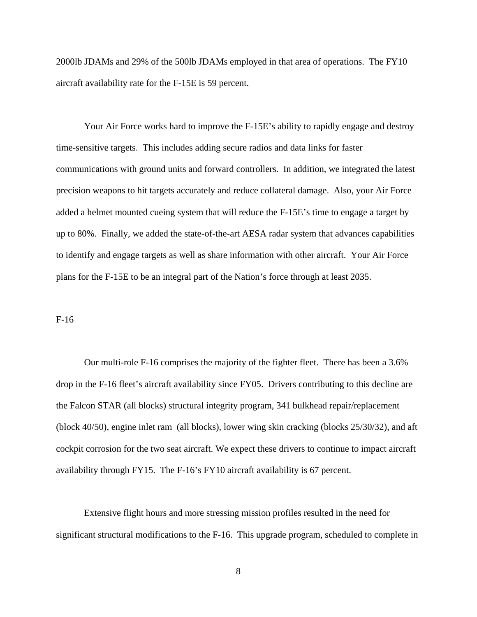2000lb JDAMs and 29% of the 500lb JDAMs employed in that area of operations. The FY10 aircraft availability rate for the F-15E is 59 percent.

Your Air Force works hard to improve the F-15E's ability to rapidly engage and destroy time-sensitive targets. This includes adding secure radios and data links for faster communications with ground units and forward controllers. In addition, we integrated the latest precision weapons to hit targets accurately and reduce collateral damage. Also, your Air Force added a helmet mounted cueing system that will reduce the F-15E's time to engage a target by up to 80%. Finally, we added the state-of-the-art AESA radar system that advances capabilities to identify and engage targets as well as share information with other aircraft. Your Air Force plans for the F-15E to be an integral part of the Nation's force through at least 2035.

#### F-16

Our multi-role F-16 comprises the majority of the fighter fleet. There has been a 3.6% drop in the F-16 fleet's aircraft availability since FY05. Drivers contributing to this decline are the Falcon STAR (all blocks) structural integrity program, 341 bulkhead repair/replacement (block 40/50), engine inlet ram (all blocks), lower wing skin cracking (blocks 25/30/32), and aft cockpit corrosion for the two seat aircraft. We expect these drivers to continue to impact aircraft availability through FY15. The F-16's FY10 aircraft availability is 67 percent.

Extensive flight hours and more stressing mission profiles resulted in the need for significant structural modifications to the F-16. This upgrade program, scheduled to complete in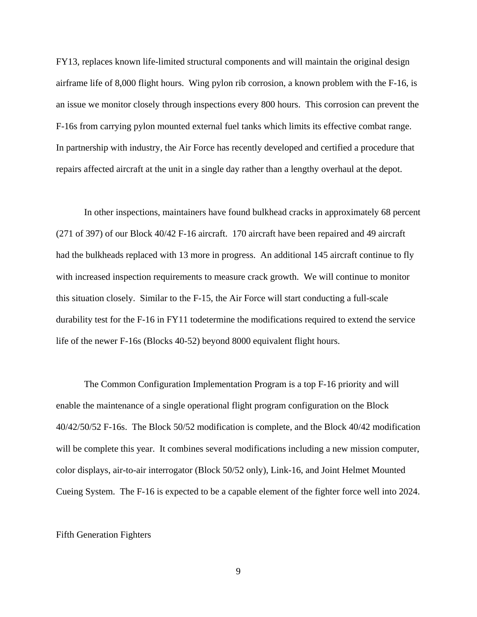FY13, replaces known life-limited structural components and will maintain the original design airframe life of 8,000 flight hours. Wing pylon rib corrosion, a known problem with the F-16, is an issue we monitor closely through inspections every 800 hours. This corrosion can prevent the F-16s from carrying pylon mounted external fuel tanks which limits its effective combat range. In partnership with industry, the Air Force has recently developed and certified a procedure that repairs affected aircraft at the unit in a single day rather than a lengthy overhaul at the depot.

In other inspections, maintainers have found bulkhead cracks in approximately 68 percent (271 of 397) of our Block 40/42 F-16 aircraft. 170 aircraft have been repaired and 49 aircraft had the bulkheads replaced with 13 more in progress. An additional 145 aircraft continue to fly with increased inspection requirements to measure crack growth. We will continue to monitor this situation closely. Similar to the F-15, the Air Force will start conducting a full-scale durability test for the F-16 in FY11 todetermine the modifications required to extend the service life of the newer F-16s (Blocks 40-52) beyond 8000 equivalent flight hours.

The Common Configuration Implementation Program is a top F-16 priority and will enable the maintenance of a single operational flight program configuration on the Block 40/42/50/52 F-16s. The Block 50/52 modification is complete, and the Block 40/42 modification will be complete this year. It combines several modifications including a new mission computer, color displays, air-to-air interrogator (Block 50/52 only), Link-16, and Joint Helmet Mounted Cueing System. The F-16 is expected to be a capable element of the fighter force well into 2024.

#### Fifth Generation Fighters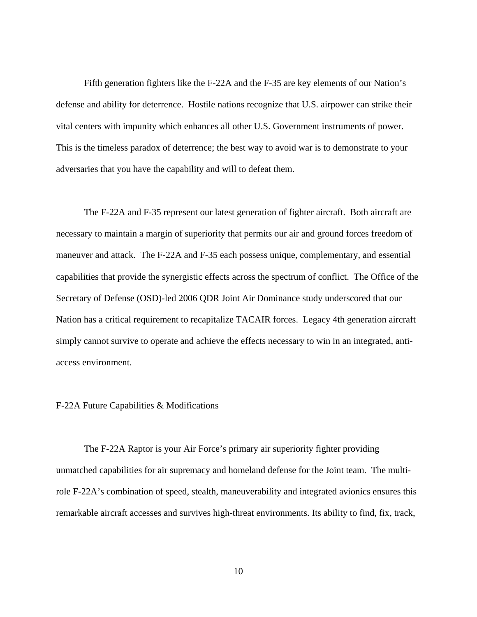Fifth generation fighters like the F-22A and the F-35 are key elements of our Nation's defense and ability for deterrence. Hostile nations recognize that U.S. airpower can strike their vital centers with impunity which enhances all other U.S. Government instruments of power. This is the timeless paradox of deterrence; the best way to avoid war is to demonstrate to your adversaries that you have the capability and will to defeat them.

The F-22A and F-35 represent our latest generation of fighter aircraft. Both aircraft are necessary to maintain a margin of superiority that permits our air and ground forces freedom of maneuver and attack. The F-22A and F-35 each possess unique, complementary, and essential capabilities that provide the synergistic effects across the spectrum of conflict. The Office of the Secretary of Defense (OSD)-led 2006 QDR Joint Air Dominance study underscored that our Nation has a critical requirement to recapitalize TACAIR forces. Legacy 4th generation aircraft simply cannot survive to operate and achieve the effects necessary to win in an integrated, antiaccess environment.

#### F-22A Future Capabilities & Modifications

The F-22A Raptor is your Air Force's primary air superiority fighter providing unmatched capabilities for air supremacy and homeland defense for the Joint team. The multirole F-22A's combination of speed, stealth, maneuverability and integrated avionics ensures this remarkable aircraft accesses and survives high-threat environments. Its ability to find, fix, track,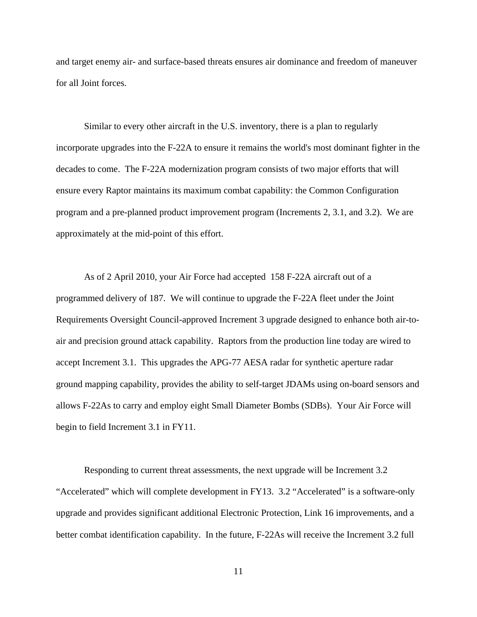and target enemy air- and surface-based threats ensures air dominance and freedom of maneuver for all Joint forces.

Similar to every other aircraft in the U.S. inventory, there is a plan to regularly incorporate upgrades into the F-22A to ensure it remains the world's most dominant fighter in the decades to come. The F-22A modernization program consists of two major efforts that will ensure every Raptor maintains its maximum combat capability: the Common Configuration program and a pre-planned product improvement program (Increments 2, 3.1, and 3.2). We are approximately at the mid-point of this effort.

As of 2 April 2010, your Air Force had accepted 158 F-22A aircraft out of a programmed delivery of 187. We will continue to upgrade the F-22A fleet under the Joint Requirements Oversight Council-approved Increment 3 upgrade designed to enhance both air-toair and precision ground attack capability. Raptors from the production line today are wired to accept Increment 3.1. This upgrades the APG-77 AESA radar for synthetic aperture radar ground mapping capability, provides the ability to self-target JDAMs using on-board sensors and allows F-22As to carry and employ eight Small Diameter Bombs (SDBs). Your Air Force will begin to field Increment 3.1 in FY11.

Responding to current threat assessments, the next upgrade will be Increment 3.2 "Accelerated" which will complete development in FY13. 3.2 "Accelerated" is a software-only upgrade and provides significant additional Electronic Protection, Link 16 improvements, and a better combat identification capability. In the future, F-22As will receive the Increment 3.2 full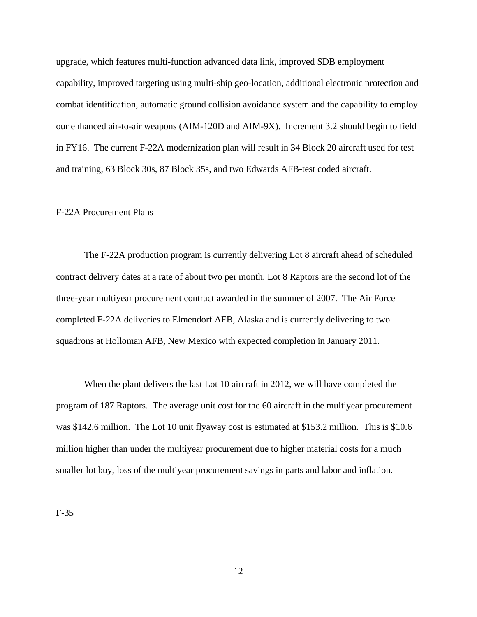upgrade, which features multi-function advanced data link, improved SDB employment capability, improved targeting using multi-ship geo-location, additional electronic protection and combat identification, automatic ground collision avoidance system and the capability to employ our enhanced air-to-air weapons (AIM-120D and AIM-9X). Increment 3.2 should begin to field in FY16. The current F-22A modernization plan will result in 34 Block 20 aircraft used for test and training, 63 Block 30s, 87 Block 35s, and two Edwards AFB-test coded aircraft.

### F-22A Procurement Plans

The F-22A production program is currently delivering Lot 8 aircraft ahead of scheduled contract delivery dates at a rate of about two per month. Lot 8 Raptors are the second lot of the three-year multiyear procurement contract awarded in the summer of 2007. The Air Force completed F-22A deliveries to Elmendorf AFB, Alaska and is currently delivering to two squadrons at Holloman AFB, New Mexico with expected completion in January 2011.

When the plant delivers the last Lot 10 aircraft in 2012, we will have completed the program of 187 Raptors. The average unit cost for the 60 aircraft in the multiyear procurement was \$142.6 million. The Lot 10 unit flyaway cost is estimated at \$153.2 million. This is \$10.6 million higher than under the multiyear procurement due to higher material costs for a much smaller lot buy, loss of the multiyear procurement savings in parts and labor and inflation.

F-35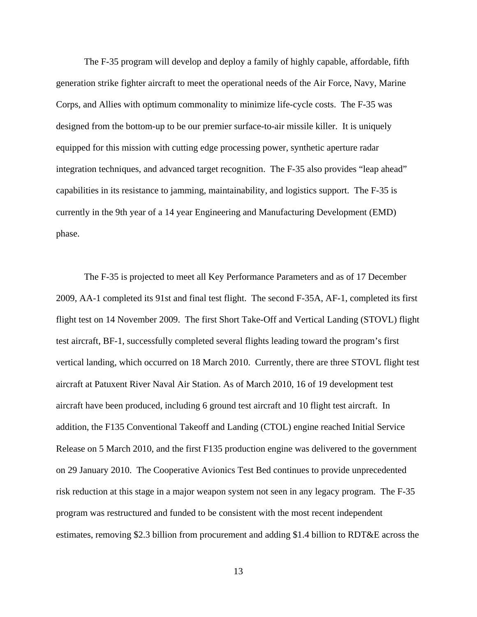The F-35 program will develop and deploy a family of highly capable, affordable, fifth generation strike fighter aircraft to meet the operational needs of the Air Force, Navy, Marine Corps, and Allies with optimum commonality to minimize life-cycle costs. The F-35 was designed from the bottom-up to be our premier surface-to-air missile killer. It is uniquely equipped for this mission with cutting edge processing power, synthetic aperture radar integration techniques, and advanced target recognition. The F-35 also provides "leap ahead" capabilities in its resistance to jamming, maintainability, and logistics support. The F-35 is currently in the 9th year of a 14 year Engineering and Manufacturing Development (EMD) phase.

The F-35 is projected to meet all Key Performance Parameters and as of 17 December 2009, AA-1 completed its 91st and final test flight. The second F-35A, AF-1, completed its first flight test on 14 November 2009. The first Short Take-Off and Vertical Landing (STOVL) flight test aircraft, BF-1, successfully completed several flights leading toward the program's first vertical landing, which occurred on 18 March 2010. Currently, there are three STOVL flight test aircraft at Patuxent River Naval Air Station. As of March 2010, 16 of 19 development test aircraft have been produced, including 6 ground test aircraft and 10 flight test aircraft. In addition, the F135 Conventional Takeoff and Landing (CTOL) engine reached Initial Service Release on 5 March 2010, and the first F135 production engine was delivered to the government on 29 January 2010. The Cooperative Avionics Test Bed continues to provide unprecedented risk reduction at this stage in a major weapon system not seen in any legacy program. The F-35 program was restructured and funded to be consistent with the most recent independent estimates, removing \$2.3 billion from procurement and adding \$1.4 billion to RDT&E across the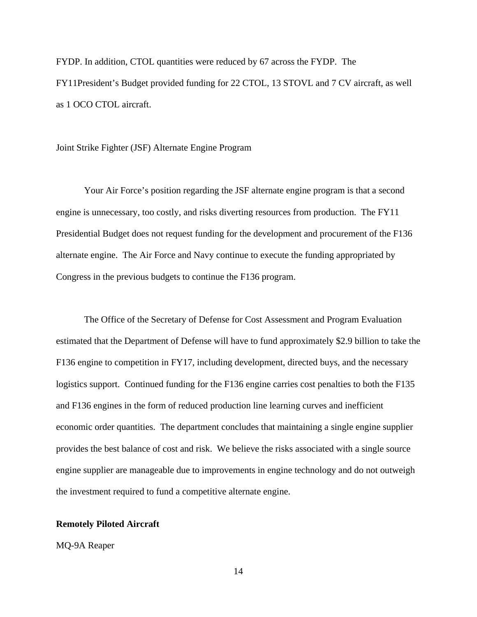FYDP. In addition, CTOL quantities were reduced by 67 across the FYDP. The FY11President's Budget provided funding for 22 CTOL, 13 STOVL and 7 CV aircraft, as well as 1 OCO CTOL aircraft.

Joint Strike Fighter (JSF) Alternate Engine Program

Your Air Force's position regarding the JSF alternate engine program is that a second engine is unnecessary, too costly, and risks diverting resources from production. The FY11 Presidential Budget does not request funding for the development and procurement of the F136 alternate engine. The Air Force and Navy continue to execute the funding appropriated by Congress in the previous budgets to continue the F136 program.

The Office of the Secretary of Defense for Cost Assessment and Program Evaluation estimated that the Department of Defense will have to fund approximately \$2.9 billion to take the F136 engine to competition in FY17, including development, directed buys, and the necessary logistics support. Continued funding for the F136 engine carries cost penalties to both the F135 and F136 engines in the form of reduced production line learning curves and inefficient economic order quantities. The department concludes that maintaining a single engine supplier provides the best balance of cost and risk. We believe the risks associated with a single source engine supplier are manageable due to improvements in engine technology and do not outweigh the investment required to fund a competitive alternate engine.

### **Remotely Piloted Aircraft**

### MQ-9A Reaper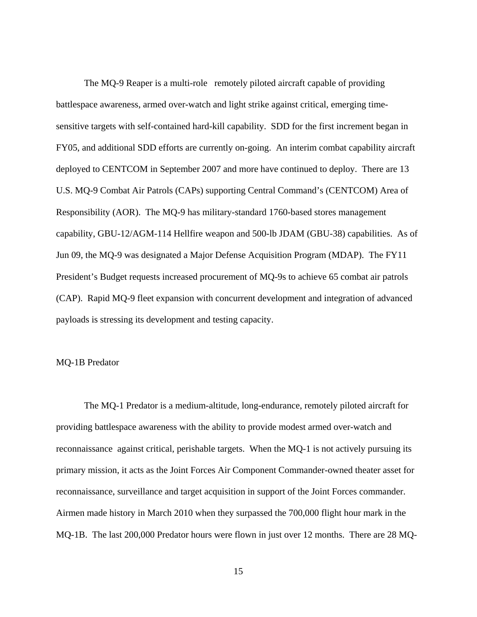The MQ-9 Reaper is a multi-role remotely piloted aircraft capable of providing battlespace awareness, armed over-watch and light strike against critical, emerging timesensitive targets with self-contained hard-kill capability. SDD for the first increment began in FY05, and additional SDD efforts are currently on-going. An interim combat capability aircraft deployed to CENTCOM in September 2007 and more have continued to deploy. There are 13 U.S. MQ-9 Combat Air Patrols (CAPs) supporting Central Command's (CENTCOM) Area of Responsibility (AOR). The MQ-9 has military-standard 1760-based stores management capability, GBU-12/AGM-114 Hellfire weapon and 500-lb JDAM (GBU-38) capabilities. As of Jun 09, the MQ-9 was designated a Major Defense Acquisition Program (MDAP). The FY11 President's Budget requests increased procurement of MQ-9s to achieve 65 combat air patrols (CAP). Rapid MQ-9 fleet expansion with concurrent development and integration of advanced payloads is stressing its development and testing capacity.

### MQ-1B Predator

 The MQ-1 Predator is a medium-altitude, long-endurance, remotely piloted aircraft for providing battlespace awareness with the ability to provide modest armed over-watch and reconnaissance against critical, perishable targets. When the MQ-1 is not actively pursuing its primary mission, it acts as the Joint Forces Air Component Commander-owned theater asset for reconnaissance, surveillance and target acquisition in support of the Joint Forces commander. Airmen made history in March 2010 when they surpassed the 700,000 flight hour mark in the MQ-1B. The last 200,000 Predator hours were flown in just over 12 months. There are 28 MQ-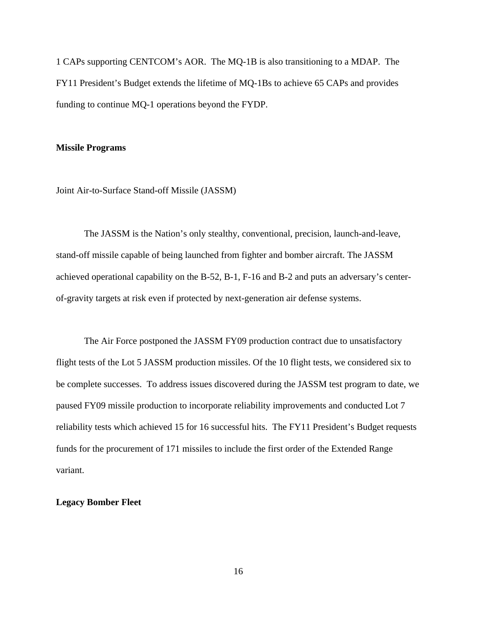1 CAPs supporting CENTCOM's AOR. The MQ-1B is also transitioning to a MDAP. The FY11 President's Budget extends the lifetime of MQ-1Bs to achieve 65 CAPs and provides funding to continue MQ-1 operations beyond the FYDP.

#### **Missile Programs**

Joint Air-to-Surface Stand-off Missile (JASSM)

The JASSM is the Nation's only stealthy, conventional, precision, launch-and-leave, stand-off missile capable of being launched from fighter and bomber aircraft. The JASSM achieved operational capability on the B-52, B-1, F-16 and B-2 and puts an adversary's centerof-gravity targets at risk even if protected by next-generation air defense systems.

The Air Force postponed the JASSM FY09 production contract due to unsatisfactory flight tests of the Lot 5 JASSM production missiles. Of the 10 flight tests, we considered six to be complete successes. To address issues discovered during the JASSM test program to date, we paused FY09 missile production to incorporate reliability improvements and conducted Lot 7 reliability tests which achieved 15 for 16 successful hits. The FY11 President's Budget requests funds for the procurement of 171 missiles to include the first order of the Extended Range variant.

### **Legacy Bomber Fleet**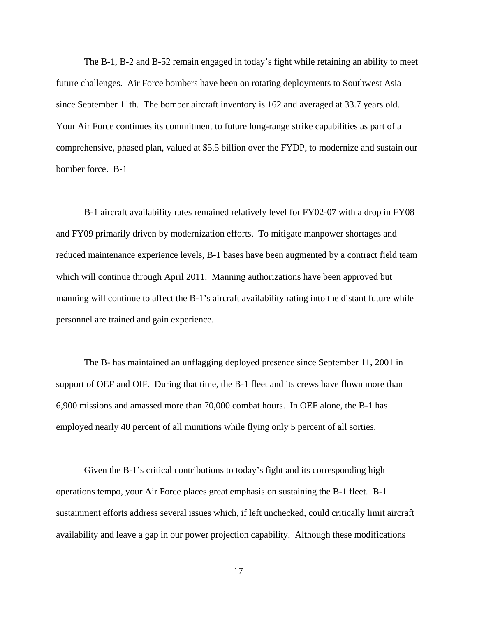The B-1, B-2 and B-52 remain engaged in today's fight while retaining an ability to meet future challenges. Air Force bombers have been on rotating deployments to Southwest Asia since September 11th. The bomber aircraft inventory is 162 and averaged at 33.7 years old. Your Air Force continues its commitment to future long-range strike capabilities as part of a comprehensive, phased plan, valued at \$5.5 billion over the FYDP, to modernize and sustain our bomber force. B-1

B-1 aircraft availability rates remained relatively level for FY02-07 with a drop in FY08 and FY09 primarily driven by modernization efforts. To mitigate manpower shortages and reduced maintenance experience levels, B-1 bases have been augmented by a contract field team which will continue through April 2011. Manning authorizations have been approved but manning will continue to affect the B-1's aircraft availability rating into the distant future while personnel are trained and gain experience.

The B- has maintained an unflagging deployed presence since September 11, 2001 in support of OEF and OIF. During that time, the B-1 fleet and its crews have flown more than 6,900 missions and amassed more than 70,000 combat hours. In OEF alone, the B-1 has employed nearly 40 percent of all munitions while flying only 5 percent of all sorties.

Given the B-1's critical contributions to today's fight and its corresponding high operations tempo, your Air Force places great emphasis on sustaining the B-1 fleet. B-1 sustainment efforts address several issues which, if left unchecked, could critically limit aircraft availability and leave a gap in our power projection capability. Although these modifications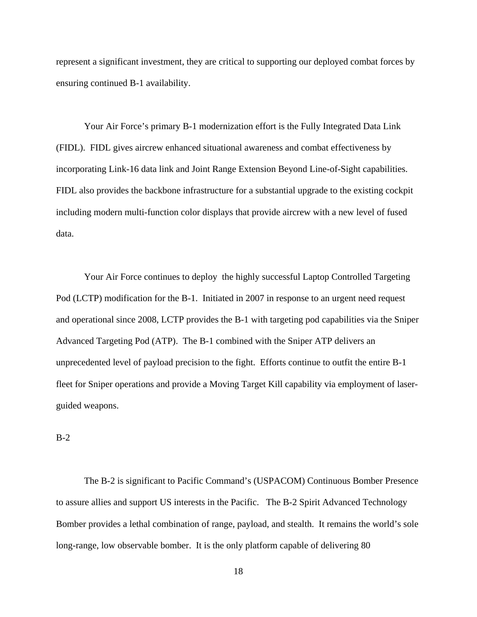represent a significant investment, they are critical to supporting our deployed combat forces by ensuring continued B-1 availability.

Your Air Force's primary B-1 modernization effort is the Fully Integrated Data Link (FIDL). FIDL gives aircrew enhanced situational awareness and combat effectiveness by incorporating Link-16 data link and Joint Range Extension Beyond Line-of-Sight capabilities. FIDL also provides the backbone infrastructure for a substantial upgrade to the existing cockpit including modern multi-function color displays that provide aircrew with a new level of fused data.

Your Air Force continues to deploy the highly successful Laptop Controlled Targeting Pod (LCTP) modification for the B-1. Initiated in 2007 in response to an urgent need request and operational since 2008, LCTP provides the B-1 with targeting pod capabilities via the Sniper Advanced Targeting Pod (ATP). The B-1 combined with the Sniper ATP delivers an unprecedented level of payload precision to the fight. Efforts continue to outfit the entire B-1 fleet for Sniper operations and provide a Moving Target Kill capability via employment of laserguided weapons.

B-2

 The B-2 is significant to Pacific Command's (USPACOM) Continuous Bomber Presence to assure allies and support US interests in the Pacific. The B-2 Spirit Advanced Technology Bomber provides a lethal combination of range, payload, and stealth. It remains the world's sole long-range, low observable bomber. It is the only platform capable of delivering 80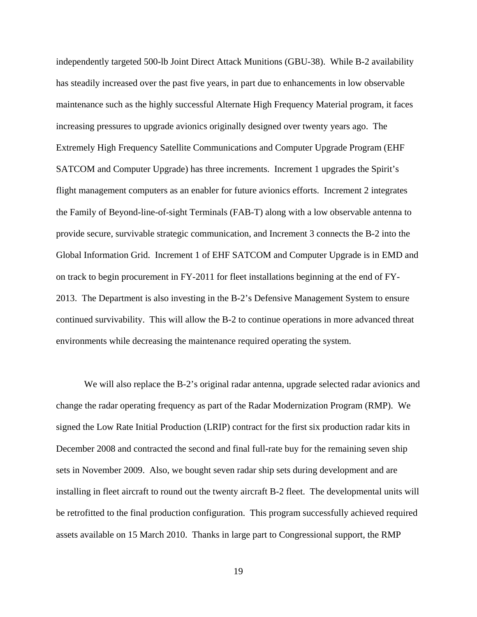independently targeted 500-lb Joint Direct Attack Munitions (GBU-38). While B-2 availability has steadily increased over the past five years, in part due to enhancements in low observable maintenance such as the highly successful Alternate High Frequency Material program, it faces increasing pressures to upgrade avionics originally designed over twenty years ago. The Extremely High Frequency Satellite Communications and Computer Upgrade Program (EHF SATCOM and Computer Upgrade) has three increments. Increment 1 upgrades the Spirit's flight management computers as an enabler for future avionics efforts. Increment 2 integrates the Family of Beyond-line-of-sight Terminals (FAB-T) along with a low observable antenna to provide secure, survivable strategic communication, and Increment 3 connects the B-2 into the Global Information Grid. Increment 1 of EHF SATCOM and Computer Upgrade is in EMD and on track to begin procurement in FY-2011 for fleet installations beginning at the end of FY-2013. The Department is also investing in the B-2's Defensive Management System to ensure continued survivability. This will allow the B-2 to continue operations in more advanced threat environments while decreasing the maintenance required operating the system.

We will also replace the B-2's original radar antenna, upgrade selected radar avionics and change the radar operating frequency as part of the Radar Modernization Program (RMP). We signed the Low Rate Initial Production (LRIP) contract for the first six production radar kits in December 2008 and contracted the second and final full-rate buy for the remaining seven ship sets in November 2009. Also, we bought seven radar ship sets during development and are installing in fleet aircraft to round out the twenty aircraft B-2 fleet. The developmental units will be retrofitted to the final production configuration. This program successfully achieved required assets available on 15 March 2010. Thanks in large part to Congressional support, the RMP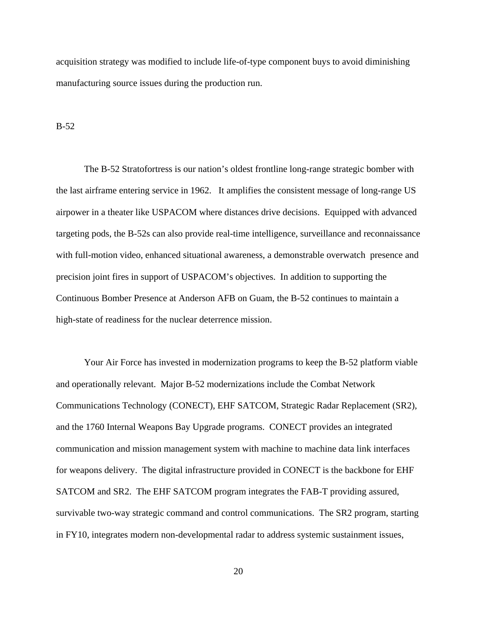acquisition strategy was modified to include life-of-type component buys to avoid diminishing manufacturing source issues during the production run.

B-52

 The B-52 Stratofortress is our nation's oldest frontline long-range strategic bomber with the last airframe entering service in 1962. It amplifies the consistent message of long-range US airpower in a theater like USPACOM where distances drive decisions. Equipped with advanced targeting pods, the B-52s can also provide real-time intelligence, surveillance and reconnaissance with full-motion video, enhanced situational awareness, a demonstrable overwatch presence and precision joint fires in support of USPACOM's objectives. In addition to supporting the Continuous Bomber Presence at Anderson AFB on Guam, the B-52 continues to maintain a high-state of readiness for the nuclear deterrence mission.

Your Air Force has invested in modernization programs to keep the B-52 platform viable and operationally relevant. Major B-52 modernizations include the Combat Network Communications Technology (CONECT), EHF SATCOM, Strategic Radar Replacement (SR2), and the 1760 Internal Weapons Bay Upgrade programs. CONECT provides an integrated communication and mission management system with machine to machine data link interfaces for weapons delivery. The digital infrastructure provided in CONECT is the backbone for EHF SATCOM and SR2. The EHF SATCOM program integrates the FAB-T providing assured, survivable two-way strategic command and control communications. The SR2 program, starting in FY10, integrates modern non-developmental radar to address systemic sustainment issues,

20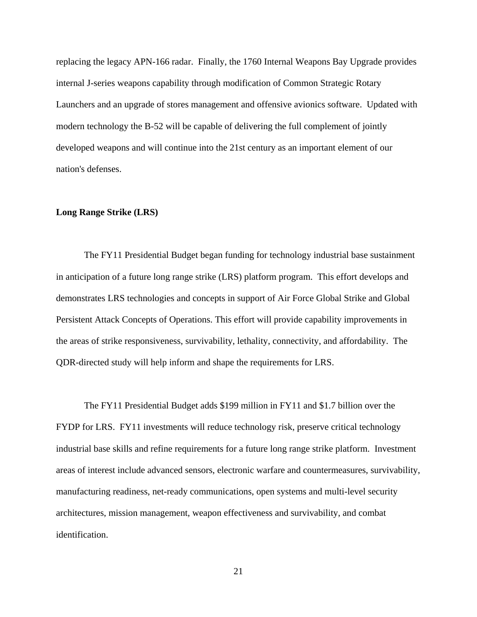replacing the legacy APN-166 radar. Finally, the 1760 Internal Weapons Bay Upgrade provides internal J-series weapons capability through modification of Common Strategic Rotary Launchers and an upgrade of stores management and offensive avionics software. Updated with modern technology the B-52 will be capable of delivering the full complement of jointly developed weapons and will continue into the 21st century as an important element of our nation's defenses.

## **Long Range Strike (LRS)**

The FY11 Presidential Budget began funding for technology industrial base sustainment in anticipation of a future long range strike (LRS) platform program. This effort develops and demonstrates LRS technologies and concepts in support of Air Force Global Strike and Global Persistent Attack Concepts of Operations. This effort will provide capability improvements in the areas of strike responsiveness, survivability, lethality, connectivity, and affordability. The QDR-directed study will help inform and shape the requirements for LRS.

The FY11 Presidential Budget adds \$199 million in FY11 and \$1.7 billion over the FYDP for LRS. FY11 investments will reduce technology risk, preserve critical technology industrial base skills and refine requirements for a future long range strike platform. Investment areas of interest include advanced sensors, electronic warfare and countermeasures, survivability, manufacturing readiness, net-ready communications, open systems and multi-level security architectures, mission management, weapon effectiveness and survivability, and combat identification.